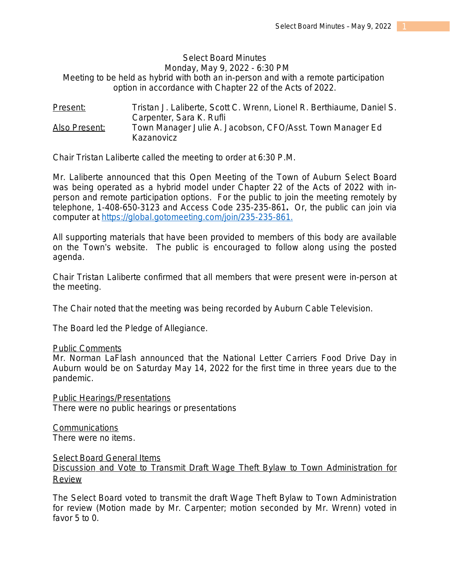# Select Board Minutes Monday, May 9, 2022 - 6:30 PM

*Meeting to be held as hybrid with both an in-person and with a remote participation option in accordance with Chapter 22 of the Acts of 2022.*

Present: Tristan J. Laliberte, Scott C. Wrenn, Lionel R. Berthiaume, Daniel S. Carpenter, Sara K. Rufli Also Present: Town Manager Julie A. Jacobson, CFO/Asst. Town Manager Ed Kazanovicz

Chair Tristan Laliberte called the meeting to order at 6:30 P.M.

Mr. Laliberte announced that this Open Meeting of the Town of Auburn Select Board was being operated as a hybrid model under Chapter 22 of the Acts of 2022 with inperson and remote participation options. For the public to join the meeting remotely by telephone, 1-408-650-3123 and Access Code 235-235-861*.* Or, the public can join via computer at [https://global.gotomeeting.com/join/235-235-861.](https://global.gotomeeting.com/join/235-235-861)

All supporting materials that have been provided to members of this body are available on the Town's website. The public is encouraged to follow along using the posted agenda.

Chair Tristan Laliberte confirmed that all members that were present were in-person at the meeting.

The Chair noted that the meeting was being recorded by Auburn Cable Television.

The Board led the Pledge of Allegiance.

#### Public Comments

Mr. Norman LaFlash announced that the National Letter Carriers Food Drive Day in Auburn would be on Saturday May 14, 2022 for the first time in three years due to the pandemic.

Public Hearings/Presentations There were no public hearings or presentations

**Communications** There were no items.

## Select Board General Items

Discussion and Vote to Transmit Draft Wage Theft Bylaw to Town Administration for Review

The Select Board voted to transmit the draft Wage Theft Bylaw to Town Administration for review (Motion made by Mr. Carpenter; motion seconded by Mr. Wrenn) voted in favor 5 to 0.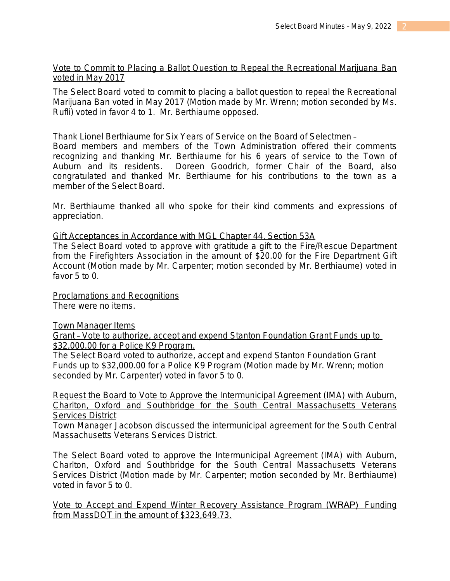## Vote to Commit to Placing a Ballot Question to Repeal the Recreational Marijuana Ban voted in May 2017

The Select Board voted to commit to placing a ballot question to repeal the Recreational Marijuana Ban voted in May 2017 (Motion made by Mr. Wrenn; motion seconded by Ms. Rufli) voted in favor 4 to 1. Mr. Berthiaume opposed.

## Thank Lionel Berthiaume for Six Years of Service on the Board of Selectmen –

Board members and members of the Town Administration offered their comments recognizing and thanking Mr. Berthiaume for his 6 years of service to the Town of Auburn and its residents. Doreen Goodrich, former Chair of the Board, also congratulated and thanked Mr. Berthiaume for his contributions to the town as a member of the Select Board.

Mr. Berthiaume thanked all who spoke for their kind comments and expressions of appreciation.

## Gift Acceptances in Accordance with MGL Chapter 44, Section 53A

The Select Board voted to approve with gratitude a gift to the Fire/Rescue Department from the Firefighters Association in the amount of \$20.00 for the Fire Department Gift Account (Motion made by Mr. Carpenter; motion seconded by Mr. Berthiaume) voted in favor 5 to 0.

Proclamations and Recognitions There were no items.

**Town Manager Items** 

Grant – Vote to authorize, accept and expend Stanton Foundation Grant Funds up to \$32,000.00 for a Police K9 Program.

The Select Board voted to authorize, accept and expend Stanton Foundation Grant Funds up to \$32,000.00 for a Police K9 Program (Motion made by Mr. Wrenn; motion seconded by Mr. Carpenter) voted in favor 5 to 0.

Request the Board to Vote to Approve the Intermunicipal Agreement (IMA) with Auburn, Charlton, Oxford and Southbridge for the South Central Massachusetts Veterans **Services District** 

Town Manager Jacobson discussed the intermunicipal agreement for the South Central Massachusetts Veterans Services District.

The Select Board voted to approve the Intermunicipal Agreement (IMA) with Auburn, Charlton, Oxford and Southbridge for the South Central Massachusetts Veterans Services District (Motion made by Mr. Carpenter; motion seconded by Mr. Berthiaume) voted in favor 5 to 0.

Vote to Accept and Expend Winter Recovery Assistance Program (WRAP) Funding from MassDOT in the amount of \$323,649.73.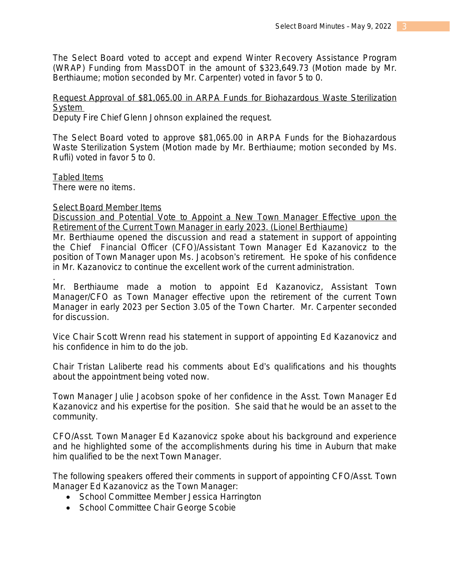The Select Board voted to accept and expend Winter Recovery Assistance Program (WRAP) Funding from MassDOT in the amount of \$323,649.73 (Motion made by Mr. Berthiaume; motion seconded by Mr. Carpenter) voted in favor 5 to 0.

Request Approval of \$81,065.00 in ARPA Funds for Biohazardous Waste Sterilization System

Deputy Fire Chief Glenn Johnson explained the request.

The Select Board voted to approve \$81,065.00 in ARPA Funds for the Biohazardous Waste Sterilization System (Motion made by Mr. Berthiaume; motion seconded by Ms. Rufli) voted in favor 5 to 0.

Tabled Items

There were no items.

## Select Board Member Items

Discussion and Potential Vote to Appoint a New Town Manager Effective upon the Retirement of the Current Town Manager in early 2023. (Lionel Berthiaume) Mr. Berthiaume opened the discussion and read a statement in support of appointing the Chief Financial Officer (CFO)/Assistant Town Manager Ed Kazanovicz to the

position of Town Manager upon Ms. Jacobson's retirement. He spoke of his confidence in Mr. Kazanovicz to continue the excellent work of the current administration.

. Mr. Berthiaume made a motion to appoint Ed Kazanovicz, Assistant Town Manager/CFO as Town Manager effective upon the retirement of the current Town Manager in early 2023 per Section 3.05 of the Town Charter. Mr. Carpenter seconded for discussion.

Vice Chair Scott Wrenn read his statement in support of appointing Ed Kazanovicz and his confidence in him to do the job.

Chair Tristan Laliberte read his comments about Ed's qualifications and his thoughts about the appointment being voted now.

Town Manager Julie Jacobson spoke of her confidence in the Asst. Town Manager Ed Kazanovicz and his expertise for the position. She said that he would be an asset to the community.

CFO/Asst. Town Manager Ed Kazanovicz spoke about his background and experience and he highlighted some of the accomplishments during his time in Auburn that make him qualified to be the next Town Manager.

The following speakers offered their comments in support of appointing CFO/Asst. Town Manager Ed Kazanovicz as the Town Manager:

- School Committee Member Jessica Harrington
- School Committee Chair George Scobie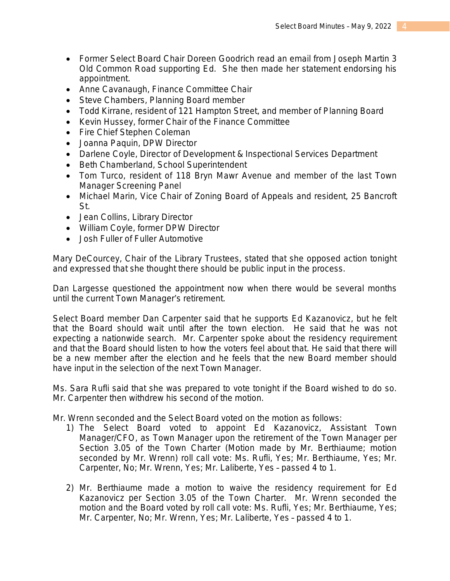- Former Select Board Chair Doreen Goodrich read an email from Joseph Martin 3 Old Common Road supporting Ed. She then made her statement endorsing his appointment.
- Anne Cavanaugh, Finance Committee Chair
- Steve Chambers, Planning Board member
- Todd Kirrane, resident of 121 Hampton Street, and member of Planning Board
- Kevin Hussey, former Chair of the Finance Committee
- Fire Chief Stephen Coleman
- Joanna Paquin, DPW Director
- Darlene Coyle, Director of Development & Inspectional Services Department
- Beth Chamberland, School Superintendent
- Tom Turco, resident of 118 Bryn Mawr Avenue and member of the last Town Manager Screening Panel
- Michael Marin, Vice Chair of Zoning Board of Appeals and resident, 25 Bancroft St.
- Jean Collins, Library Director
- William Coyle, former DPW Director
- Josh Fuller of Fuller Automotive

Mary DeCourcey, Chair of the Library Trustees, stated that she opposed action tonight and expressed that she thought there should be public input in the process.

Dan Largesse questioned the appointment now when there would be several months until the current Town Manager's retirement.

Select Board member Dan Carpenter said that he supports Ed Kazanovicz, but he felt that the Board should wait until after the town election. He said that he was not expecting a nationwide search. Mr. Carpenter spoke about the residency requirement and that the Board should listen to how the voters feel about that. He said that there will be a new member after the election and he feels that the new Board member should have input in the selection of the next Town Manager.

Ms. Sara Rufli said that she was prepared to vote tonight if the Board wished to do so. Mr. Carpenter then withdrew his second of the motion.

Mr. Wrenn seconded and the Select Board voted on the motion as follows:

- 1) The Select Board voted to appoint Ed Kazanovicz, Assistant Town Manager/CFO, as Town Manager upon the retirement of the Town Manager per Section 3.05 of the Town Charter (Motion made by Mr. Berthiaume; motion seconded by Mr. Wrenn) roll call vote: Ms. Rufli, Yes; Mr. Berthiaume, Yes; Mr. Carpenter, No; Mr. Wrenn, Yes; Mr. Laliberte, Yes – passed 4 to 1.
- 2) Mr. Berthiaume made a motion to waive the residency requirement for Ed Kazanovicz per Section 3.05 of the Town Charter. Mr. Wrenn seconded the motion and the Board voted by roll call vote: Ms. Rufli, Yes; Mr. Berthiaume, Yes; Mr. Carpenter, No; Mr. Wrenn, Yes; Mr. Laliberte, Yes – passed 4 to 1.